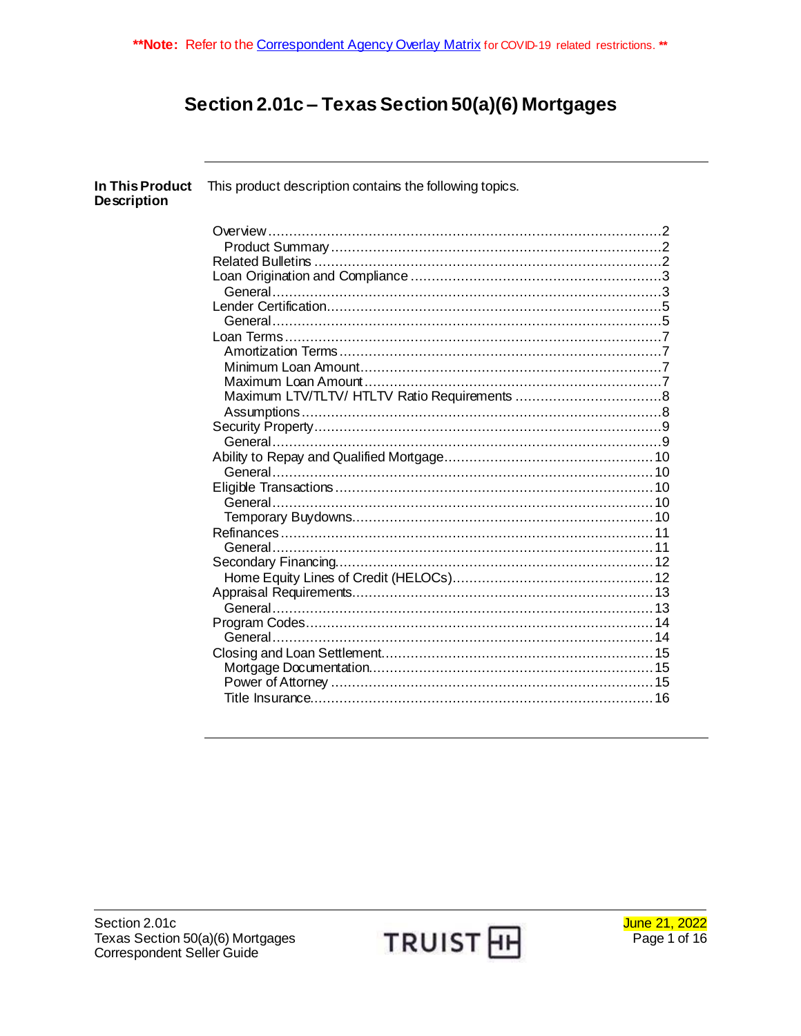# Section 2.01c - Texas Section 50(a)(6) Mortgages

| In This Product<br><b>Description</b> | This product description contains the following topics. |
|---------------------------------------|---------------------------------------------------------|
|                                       |                                                         |
|                                       |                                                         |
|                                       |                                                         |
|                                       |                                                         |
|                                       |                                                         |
|                                       |                                                         |
|                                       |                                                         |
|                                       |                                                         |
|                                       |                                                         |
|                                       |                                                         |
|                                       |                                                         |
|                                       |                                                         |
|                                       |                                                         |
|                                       |                                                         |
|                                       |                                                         |
|                                       |                                                         |
|                                       |                                                         |
|                                       |                                                         |
|                                       |                                                         |
|                                       |                                                         |
|                                       |                                                         |
|                                       |                                                         |
|                                       |                                                         |
|                                       |                                                         |
|                                       |                                                         |
|                                       |                                                         |
|                                       |                                                         |
|                                       |                                                         |
|                                       |                                                         |
|                                       |                                                         |
|                                       |                                                         |
|                                       |                                                         |
|                                       |                                                         |

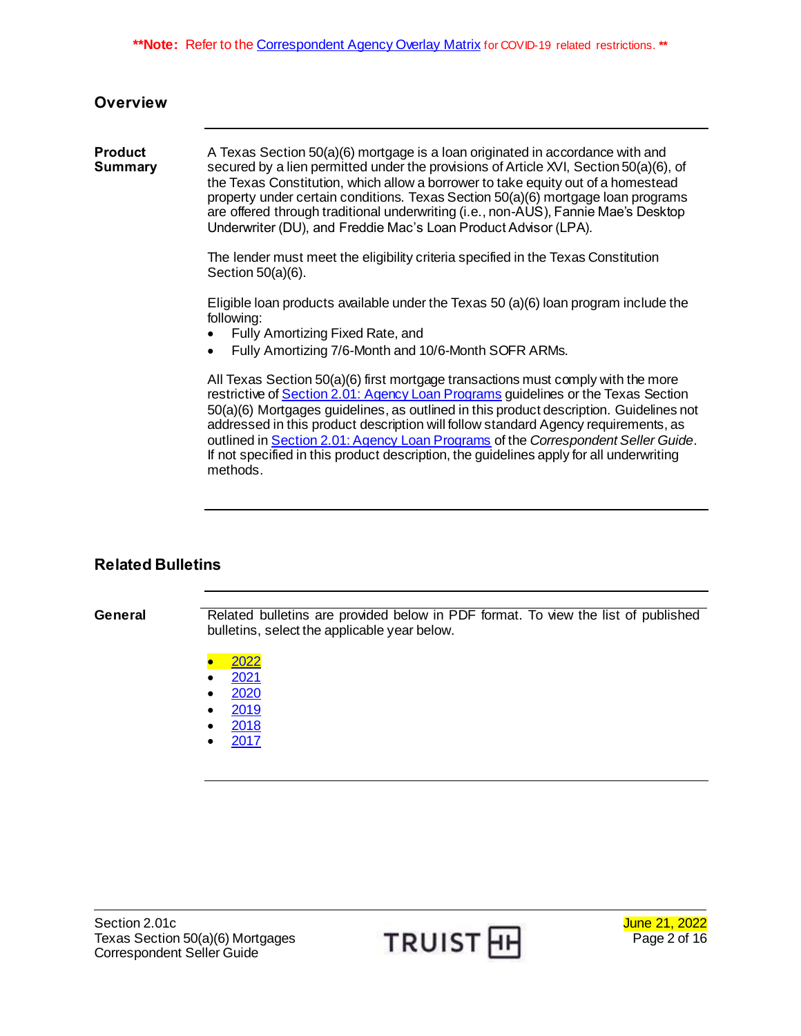<span id="page-1-1"></span><span id="page-1-0"></span>

| <b>Overview</b>                  |                                                                                                                                                                                                                                                                                                                                                                                                                                                                                                                                       |  |  |
|----------------------------------|---------------------------------------------------------------------------------------------------------------------------------------------------------------------------------------------------------------------------------------------------------------------------------------------------------------------------------------------------------------------------------------------------------------------------------------------------------------------------------------------------------------------------------------|--|--|
| <b>Product</b><br><b>Summary</b> | A Texas Section 50(a)(6) mortgage is a loan originated in accordance with and<br>secured by a lien permitted under the provisions of Article XVI, Section 50(a)(6), of<br>the Texas Constitution, which allow a borrower to take equity out of a homestead<br>property under certain conditions. Texas Section 50(a)(6) mortgage loan programs<br>are offered through traditional underwriting (i.e., non-AUS), Fannie Mae's Desktop<br>Underwriter (DU), and Freddie Mac's Loan Product Advisor (LPA).                               |  |  |
|                                  | The lender must meet the eligibility criteria specified in the Texas Constitution<br>Section $50(a)(6)$ .                                                                                                                                                                                                                                                                                                                                                                                                                             |  |  |
|                                  | Eligible loan products available under the Texas 50 (a)(6) loan program include the<br>following:<br>Fully Amortizing Fixed Rate, and<br>Fully Amortizing 7/6-Month and 10/6-Month SOFR ARMs.<br>$\bullet$                                                                                                                                                                                                                                                                                                                            |  |  |
|                                  | All Texas Section 50(a)(6) first mortgage transactions must comply with the more<br>restrictive of Section 2.01: Agency Loan Programs guidelines or the Texas Section<br>50(a)(6) Mortgages guidelines, as outlined in this product description. Guidelines not<br>addressed in this product description will follow standard Agency requirements, as<br>outlined in Section 2.01: Agency Loan Programs of the Correspondent Seller Guide.<br>If not specified in this product description, the guidelines apply for all underwriting |  |  |

# <span id="page-1-2"></span>**Related Bulletins**

General **Related bulletins are provided below in PDF format. To view the list of published** bulletins, select the applicable year below.

 $\bullet$  [2022](https://www.truistsellerguide.com/manual/COR/bulletins/Related%20Bulletins/2022/CTexasRefi2022.pdf)

methods.

- [2021](https://www.truistsellerguide.com/manual/COR/bulletins/Related%20Bulletins/2021/CTexasRefi2021.pdf)
- $\bullet$  [2020](https://www.truistsellerguide.com/manual/COR/bulletins/Related%20Bulletins/2020/CTexasRefi2020.pdf)
- [2019](https://www.truistsellerguide.com/manual/COR/bulletins/Related%20Bulletins/2019/CTexasRefi2019.pdf)
- [2018](https://www.truistsellerguide.com/manual/COR/bulletins/Related%20Bulletins/2018/CTexasRefi2018.pdf)
- [2017](https://www.truistsellerguide.com/manual/COR/bulletins/Related%20Bulletins/2017/CTexasCO2017.pdf)



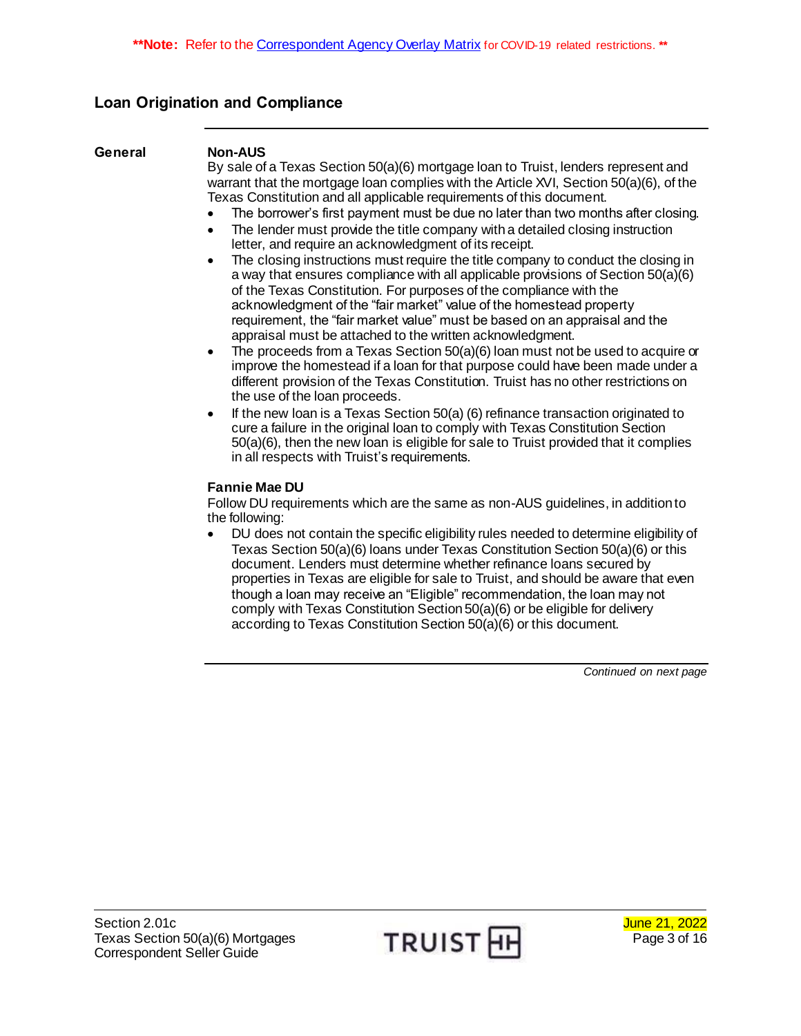# <span id="page-2-0"></span>**Loan Origination and Compliance**

<span id="page-2-1"></span>

| General | <b>Non-AUS</b><br>By sale of a Texas Section 50(a)(6) mortgage loan to Truist, lenders represent and<br>warrant that the mortgage loan complies with the Article XVI, Section 50(a)(6), of the<br>Texas Constitution and all applicable requirements of this document.<br>The borrower's first payment must be due no later than two months after closing.<br>$\bullet$<br>The lender must provide the title company with a detailed closing instruction<br>$\bullet$<br>letter, and require an acknowledgment of its receipt.<br>The closing instructions must require the title company to conduct the closing in<br>$\bullet$<br>a way that ensures compliance with all applicable provisions of Section 50(a)(6)<br>of the Texas Constitution. For purposes of the compliance with the<br>acknowledgment of the "fair market" value of the homestead property<br>requirement, the "fair market value" must be based on an appraisal and the<br>appraisal must be attached to the written acknowledgment.<br>The proceeds from a Texas Section 50(a)(6) loan must not be used to acquire or<br>$\bullet$<br>improve the homestead if a loan for that purpose could have been made under a<br>different provision of the Texas Constitution. Truist has no other restrictions on<br>the use of the loan proceeds.<br>If the new loan is a Texas Section 50(a) (6) refinance transaction originated to<br>$\bullet$<br>cure a failure in the original loan to comply with Texas Constitution Section<br>50(a)(6), then the new loan is eligible for sale to Truist provided that it complies |
|---------|-----------------------------------------------------------------------------------------------------------------------------------------------------------------------------------------------------------------------------------------------------------------------------------------------------------------------------------------------------------------------------------------------------------------------------------------------------------------------------------------------------------------------------------------------------------------------------------------------------------------------------------------------------------------------------------------------------------------------------------------------------------------------------------------------------------------------------------------------------------------------------------------------------------------------------------------------------------------------------------------------------------------------------------------------------------------------------------------------------------------------------------------------------------------------------------------------------------------------------------------------------------------------------------------------------------------------------------------------------------------------------------------------------------------------------------------------------------------------------------------------------------------------------------------------------------------------------------------------|
|         | in all respects with Truist's requirements.<br><b>Fannie Mae DU</b><br>Follow DU requirements which are the same as non-AUS guidelines, in addition to<br>the following:<br>DU does not contain the specific eligibility rules needed to determine eligibility of<br>٠<br>Texas Section 50(a)(6) loans under Texas Constitution Section 50(a)(6) or this<br>document. Lenders must determine whether refinance loans secured by<br>properties in Texas are eligible for sale to Truist, and should be aware that even                                                                                                                                                                                                                                                                                                                                                                                                                                                                                                                                                                                                                                                                                                                                                                                                                                                                                                                                                                                                                                                                         |

though a loan may receive an "Eligible" recommendation, the loan may not comply with Texas Constitution Section 50(a)(6) or be eligible for delivery according to Texas Constitution Section 50(a)(6) or this document.

*Continued on next page*

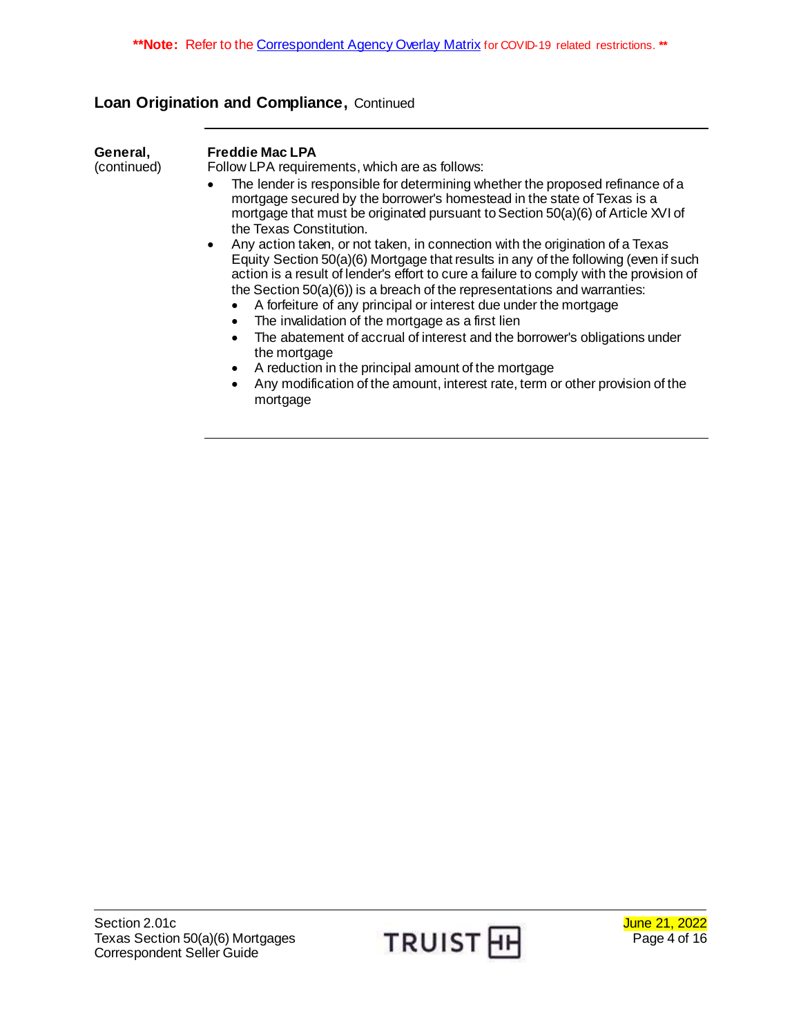# **Loan Origination and Compliance,** Continued

| General,<br>(continued) | <b>Freddie Mac LPA</b><br>Follow LPA requirements, which are as follows:                                                                                                                                                                                                                                                                                                                                                                                             |  |  |  |  |
|-------------------------|----------------------------------------------------------------------------------------------------------------------------------------------------------------------------------------------------------------------------------------------------------------------------------------------------------------------------------------------------------------------------------------------------------------------------------------------------------------------|--|--|--|--|
|                         | The lender is responsible for determining whether the proposed refinance of a<br>mortgage secured by the borrower's homestead in the state of Texas is a<br>mortgage that must be originated pursuant to Section 50(a)(6) of Article XVI of<br>the Texas Constitution.                                                                                                                                                                                               |  |  |  |  |
|                         | Any action taken, or not taken, in connection with the origination of a Texas<br>Equity Section 50(a)(6) Mortgage that results in any of the following (even if such<br>action is a result of lender's effort to cure a failure to comply with the provision of<br>the Section $50(a)(6)$ is a breach of the representations and warranties:<br>A forfeiture of any principal or interest due under the mortgage<br>The invalidation of the mortgage as a first lien |  |  |  |  |
|                         | The abatement of accrual of interest and the borrower's obligations under<br>the mortgage                                                                                                                                                                                                                                                                                                                                                                            |  |  |  |  |
|                         | A reduction in the principal amount of the mortgage                                                                                                                                                                                                                                                                                                                                                                                                                  |  |  |  |  |
|                         | Any modification of the amount, interest rate, term or other provision of the<br>$\bullet$<br>mortgage                                                                                                                                                                                                                                                                                                                                                               |  |  |  |  |

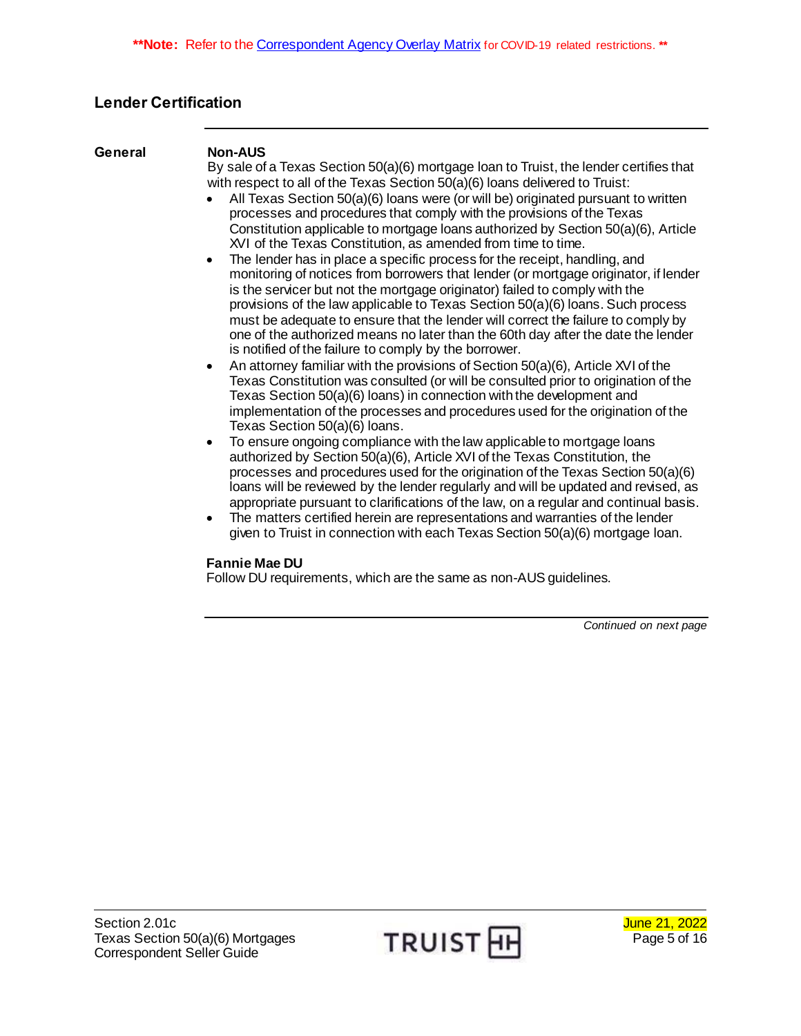# <span id="page-4-0"></span>**Lender Certification**

#### <span id="page-4-1"></span>**General Non-AUS**

By sale of a Texas Section 50(a)(6) mortgage loan to Truist, the lender certifies that with respect to all of the Texas Section 50(a)(6) loans delivered to Truist:

- All Texas Section 50(a)(6) loans were (or will be) originated pursuant to written processes and procedures that comply with the provisions of the Texas Constitution applicable to mortgage loans authorized by Section 50(a)(6), Article XVI of the Texas Constitution, as amended from time to time.
- The lender has in place a specific process for the receipt, handling, and monitoring of notices from borrowers that lender (or mortgage originator, if lender is the servicer but not the mortgage originator) failed to comply with the provisions of the law applicable to Texas Section 50(a)(6) loans. Such process must be adequate to ensure that the lender will correct the failure to comply by one of the authorized means no later than the 60th day after the date the lender is notified of the failure to comply by the borrower.
- An attorney familiar with the provisions of Section  $50(a)(6)$ , Article XVI of the Texas Constitution was consulted (or will be consulted prior to origination of the Texas Section 50(a)(6) loans) in connection with the development and implementation of the processes and procedures used for the origination of the Texas Section 50(a)(6) loans.
- To ensure ongoing compliance with the law applicable to mortgage loans authorized by Section 50(a)(6), Article XVI of the Texas Constitution, the processes and procedures used for the origination of the Texas Section 50(a)(6) loans will be reviewed by the lender regularly and will be updated and revised, as appropriate pursuant to clarifications of the law, on a regular and continual basis.
- The matters certified herein are representations and warranties of the lender given to Truist in connection with each Texas Section 50(a)(6) mortgage loan.

### **Fannie Mae DU**

Follow DU requirements, which are the same as non-AUS guidelines.

*Continued on next page*

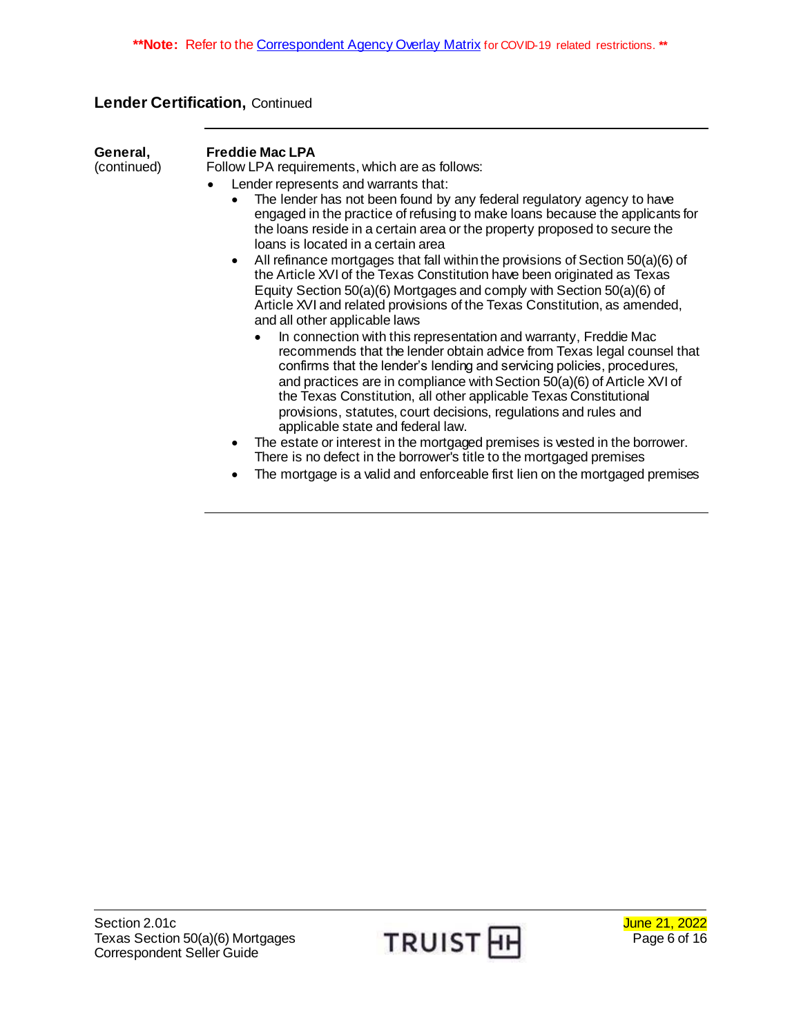# **Lender Certification,** Continued

**General,** (continued)

#### **Freddie Mac LPA**

- Lender represents and warrants that:
	- The lender has not been found by any federal regulatory agency to have engaged in the practice of refusing to make loans because the applicants for the loans reside in a certain area or the property proposed to secure the loans is located in a certain area
	- All refinance mortgages that fall within the provisions of Section 50(a)(6) of the Article XVI of the Texas Constitution have been originated as Texas Equity Section 50(a)(6) Mortgages and comply with Section 50(a)(6) of Article XVI and related provisions of the Texas Constitution, as amended, and all other applicable laws
		- In connection with this representation and warranty, Freddie Mac recommends that the lender obtain advice from Texas legal counsel that confirms that the lender's lending and servicing policies, procedures, and practices are in compliance with Section 50(a)(6) of Article XVI of the Texas Constitution, all other applicable Texas Constitutional provisions, statutes, court decisions, regulations and rules and applicable state and federal law.
	- The estate or interest in the mortgaged premises is vested in the borrower. There is no defect in the borrower's title to the mortgaged premises
	- The mortgage is a valid and enforceable first lien on the mortgaged premises

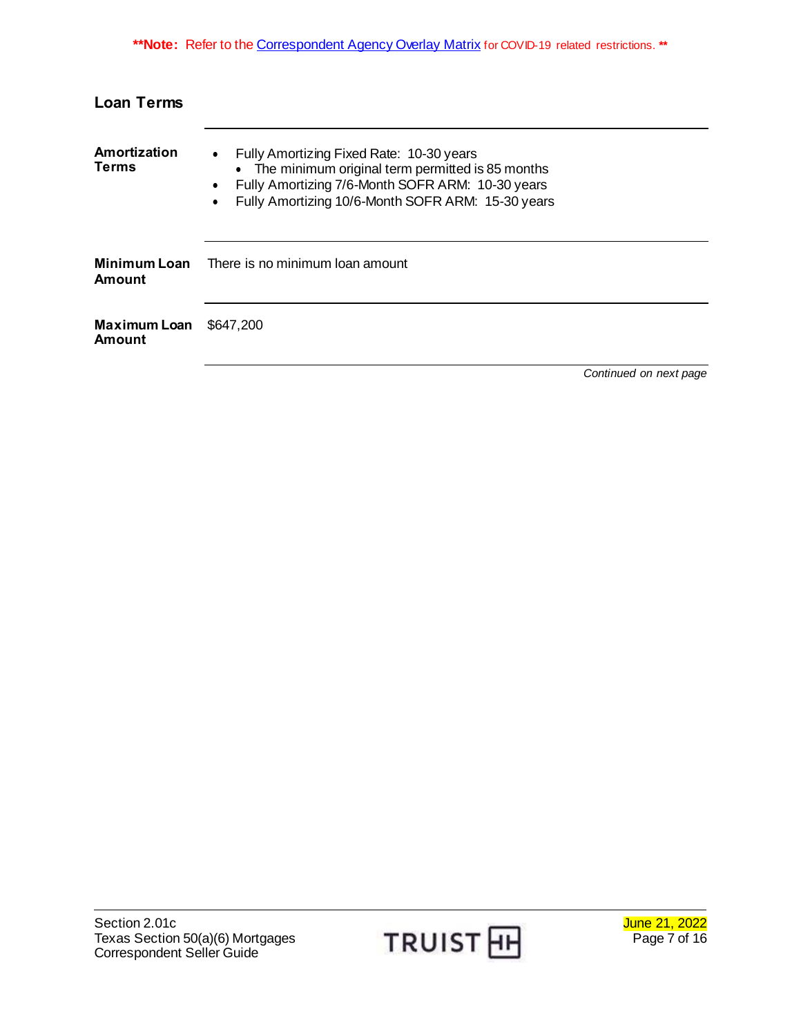# <span id="page-6-0"></span>**Loan Terms**

<span id="page-6-3"></span><span id="page-6-2"></span><span id="page-6-1"></span>

| Amortization<br>Terms                | Fully Amortizing Fixed Rate: 10-30 years<br>$\bullet$<br>• The minimum original term permitted is 85 months<br>Fully Amortizing 7/6-Month SOFR ARM: 10-30 years<br>$\bullet$<br>Fully Amortizing 10/6-Month SOFR ARM: 15-30 years |                        |  |  |
|--------------------------------------|-----------------------------------------------------------------------------------------------------------------------------------------------------------------------------------------------------------------------------------|------------------------|--|--|
| <b>Minimum Loan</b><br><b>Amount</b> | There is no minimum loan amount                                                                                                                                                                                                   |                        |  |  |
| <b>Maximum Loan</b><br>Amount        | \$647,200                                                                                                                                                                                                                         |                        |  |  |
|                                      |                                                                                                                                                                                                                                   | Continued on next page |  |  |

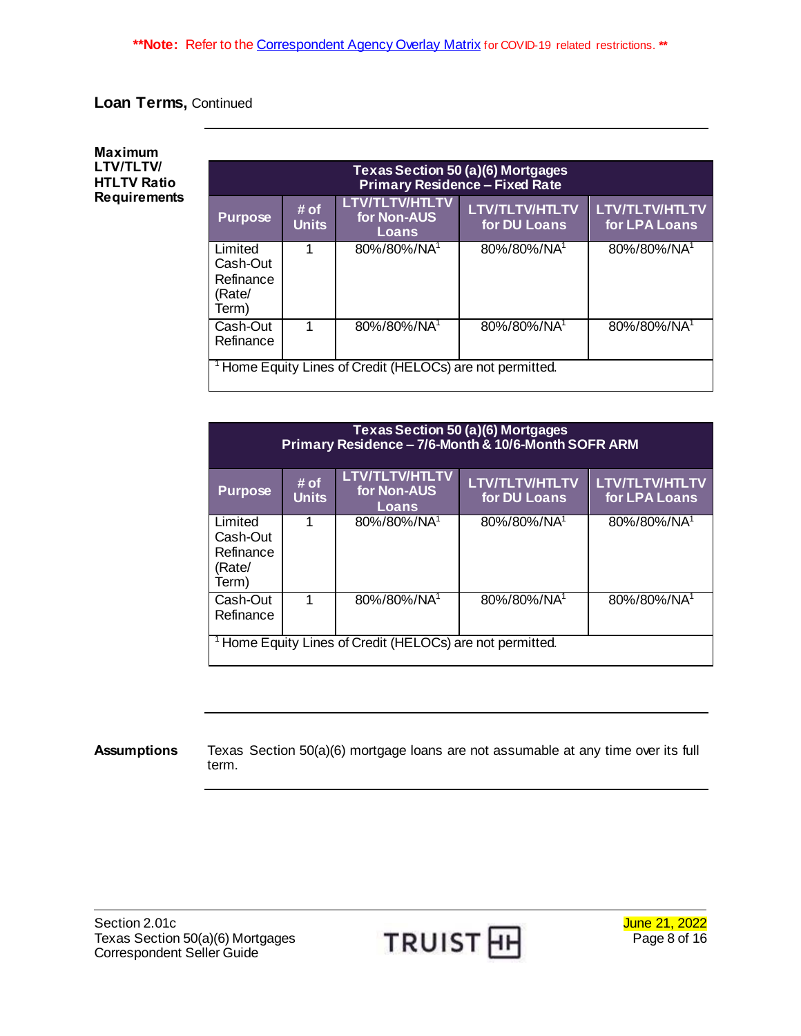# **Loan Terms,** Continued

#### <span id="page-7-0"></span>**Maximum LTV/TLTV/ HTLTV Ratio Requirements**

| Texas Section 50 (a)(6) Mortgages<br><b>Primary Residence - Fixed Rate</b> |                      |                                               |                                       |                                        |
|----------------------------------------------------------------------------|----------------------|-----------------------------------------------|---------------------------------------|----------------------------------------|
| <b>Purpose</b>                                                             | # of<br><b>Units</b> | <b>LTV/TLTV/HTLTV</b><br>for Non-AUS<br>Loans | <b>LTV/TLTV/HTLTV</b><br>for DU Loans | <b>LTV/TLTV/HTLTV</b><br>for LPA Loans |
| Limited<br>Cash-Out<br>Refinance<br>(Rate/<br>Term)                        | 1                    | 80%/80%/NA <sup>1</sup>                       | 80%/80%/NA1                           | 80%/80%/NA <sup>1</sup>                |
| Cash-Out<br>Refinance                                                      | 1                    | 80%/80%/NA <sup>1</sup>                       | 80%/80%/NA1                           | 80%/80%/NA <sup>1</sup>                |
| <sup>1</sup> Home Equity Lines of Credit (HELOCs) are not permitted.       |                      |                                               |                                       |                                        |

| <b>Texas Section 50 (a)(6) Mortgages</b><br>Primary Residence - 7/6-Month & 10/6-Month SOFR ARM |                      |                                               |                                       |                                        |
|-------------------------------------------------------------------------------------------------|----------------------|-----------------------------------------------|---------------------------------------|----------------------------------------|
| <b>Purpose</b>                                                                                  | # of<br><b>Units</b> | <b>LTV/TLTV/HTLTV</b><br>for Non-AUS<br>Loans | <b>LTV/TLTV/HTLTV</b><br>for DU Loans | <b>LTV/TLTV/HTLTV</b><br>for LPA Loans |
| Limited<br>Cash-Out<br>Refinance<br>(Rate/<br>Term)                                             |                      | 80%/80%/NA <sup>1</sup>                       | 80%/80%/NA1                           | 80%/80%/NA <sup>1</sup>                |
| Cash-Out<br>Refinance                                                                           |                      | 80%/80%/NA <sup>1</sup>                       | 80%/80%/NA1                           | 80%/80%/NA <sup>1</sup>                |
| <sup>1</sup> Home Equity Lines of Credit (HELOCs) are not permitted.                            |                      |                                               |                                       |                                        |

#### <span id="page-7-1"></span>**Assumptions** Texas Section 50(a)(6) mortgage loans are not assumable at any time over its full term.

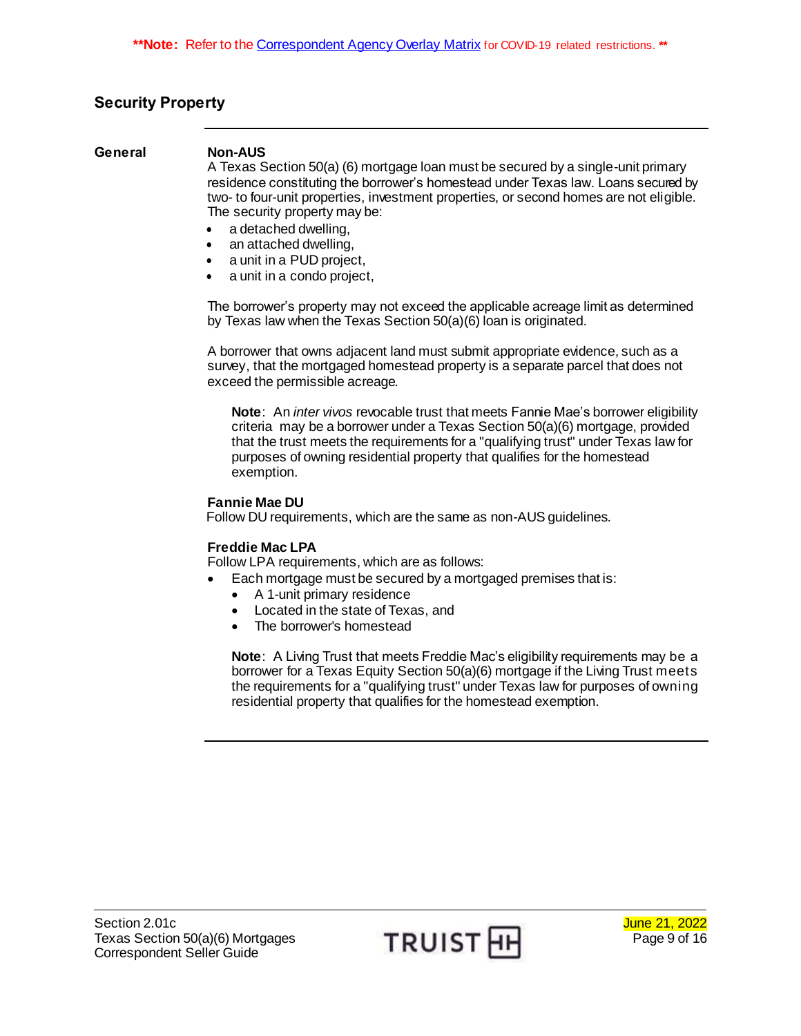# <span id="page-8-0"></span>**Security Property**

#### <span id="page-8-1"></span>**General Non-AUS**

A Texas Section 50(a) (6) mortgage loan must be secured by a single-unit primary residence constituting the borrower's homestead under Texas law. Loans secured by two- to four-unit properties, investment properties, or second homes are not eligible. The security property may be:

- a detached dwelling,
- an attached dwelling,
- a unit in a PUD project,
- a unit in a condo project,

The borrower's property may not exceed the applicable acreage limit as determined by Texas law when the Texas Section 50(a)(6) loan is originated.

A borrower that owns adjacent land must submit appropriate evidence, such as a survey, that the mortgaged homestead property is a separate parcel that does not exceed the permissible acreage.

**Note**: An *inter vivos* revocable trust that meets Fannie Mae's borrower eligibility criteria may be a borrower under a Texas Section 50(a)(6) mortgage, provided that the trust meets the requirements for a "qualifying trust" under Texas law for purposes of owning residential property that qualifies for the homestead exemption.

#### **Fannie Mae DU**

Follow DU requirements, which are the same as non-AUS guidelines.

### **Freddie Mac LPA**

Follow LPA requirements, which are as follows:

- Each mortgage must be secured by a mortgaged premises that is:
	- A 1-unit primary residence
	- Located in the state of Texas, and
	- The borrower's homestead

**Note**: A Living Trust that meets Freddie Mac's eligibility requirements may be a borrower for a Texas Equity Section 50(a)(6) mortgage if the Living Trust meets the requirements for a "qualifying trust" under Texas law for purposes of owning residential property that qualifies for the homestead exemption.

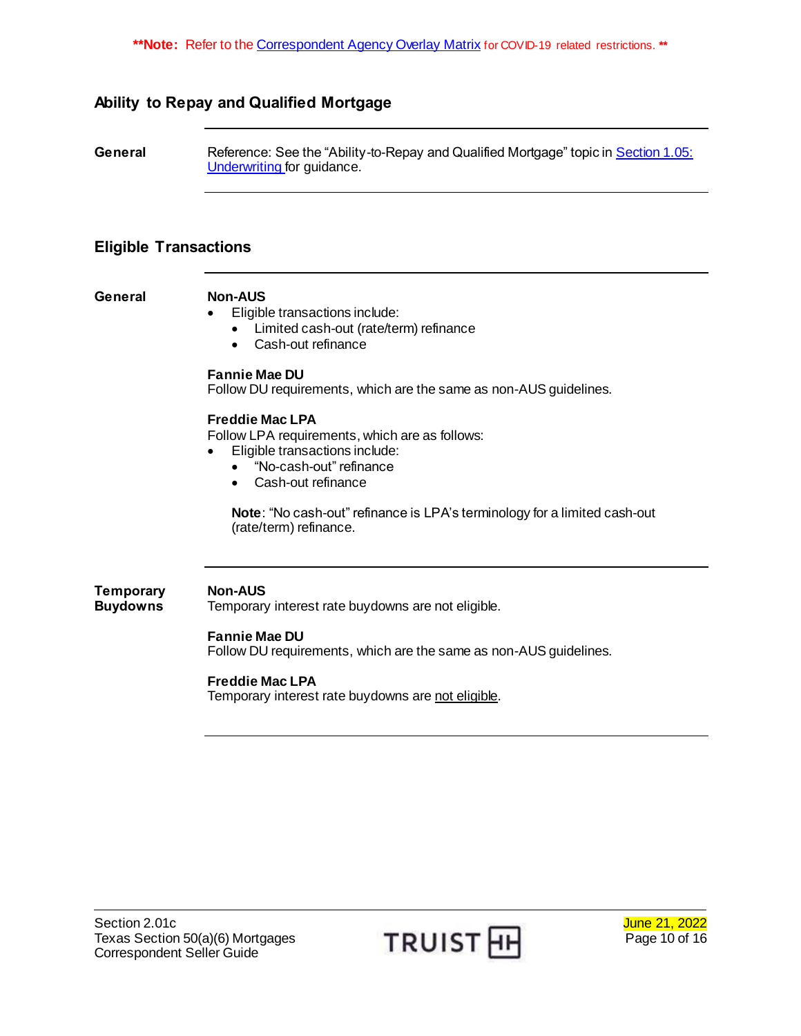**\*\*Note:** Refer to th[e Correspondent Agency Overlay Matrix](http://www.truistsellerguide.com/manual/cor/products/CAgencyCreditOverlays.pdf) for COVID-19 related restrictions. **\*\***

# <span id="page-9-0"></span>**Ability to Repay and Qualified Mortgage**

<span id="page-9-1"></span>**General** Reference: See the "Ability-to-Repay and Qualified Mortgage" topic i[n Section 1.05:](https://www.truistsellerguide.com/manual/cor/general/1.05underwriting.pdf)  [Underwriting f](https://www.truistsellerguide.com/manual/cor/general/1.05underwriting.pdf)or guidance.

## <span id="page-9-2"></span>**Eligible Transactions**

<span id="page-9-3"></span>**General Non-AUS**

<span id="page-9-4"></span>**Temporary Buydowns**

- Eligible transactions include:
	- Limited cash-out (rate/term) refinance
	- Cash-out refinance

#### **Fannie Mae DU**

Follow DU requirements, which are the same as non-AUS guidelines.

#### **Freddie Mac LPA**

Follow LPA requirements, which are as follows:

- Eligible transactions include:
	- "No-cash-out" refinance
	- Cash-out refinance

**Note**: "No cash-out" refinance is LPA's terminology for a limited cash-out (rate/term) refinance.

### **Non-AUS**

Temporary interest rate buydowns are not eligible.

#### **Fannie Mae DU**

Follow DU requirements, which are the same as non-AUS guidelines.

#### **Freddie Mac LPA**

Temporary interest rate buydowns are not eligible.



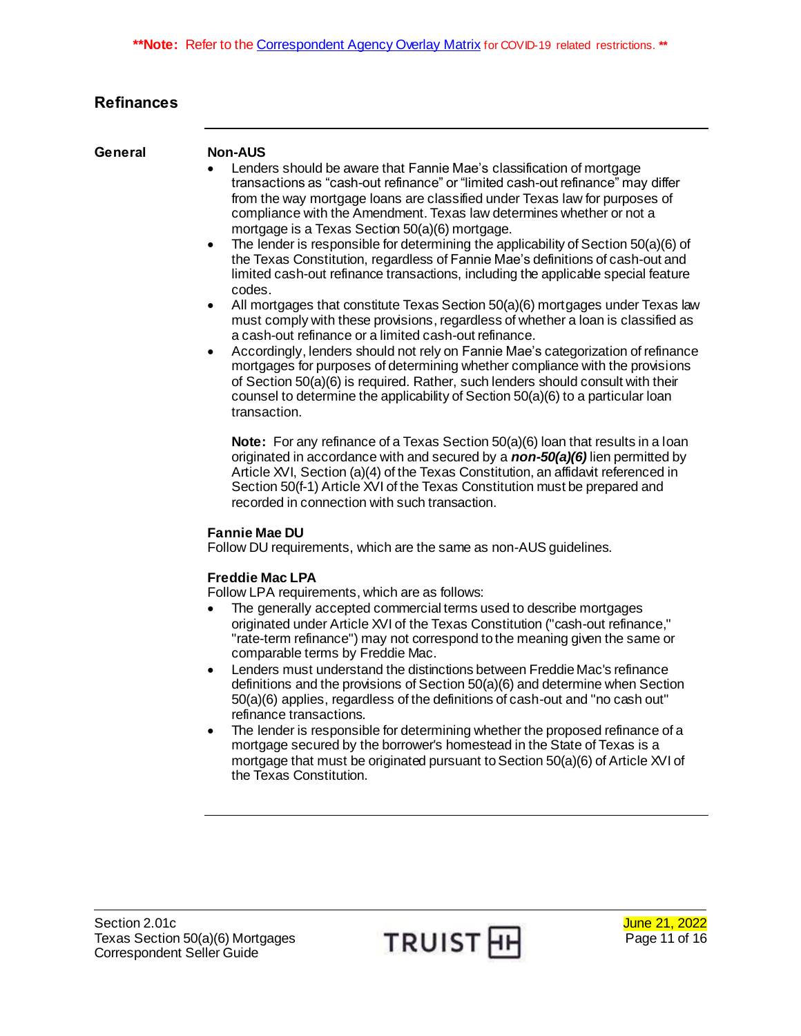# <span id="page-10-0"></span>**Refinances**

#### <span id="page-10-1"></span>**General Non-AUS**

- Lenders should be aware that Fannie Mae's classification of mortgage transactions as "cash-out refinance" or "limited cash-out refinance" may differ from the way mortgage loans are classified under Texas law for purposes of compliance with the Amendment. Texas law determines whether or not a mortgage is a Texas Section 50(a)(6) mortgage.
- The lender is responsible for determining the applicability of Section 50(a)(6) of the Texas Constitution, regardless of Fannie Mae's definitions of cash-out and limited cash-out refinance transactions, including the applicable special feature codes.
- All mortgages that constitute Texas Section 50(a)(6) mortgages under Texas law must comply with these provisions, regardless of whether a loan is classified as a cash-out refinance or a limited cash-out refinance.
- Accordingly, lenders should not rely on Fannie Mae's categorization of refinance mortgages for purposes of determining whether compliance with the provisions of Section 50(a)(6) is required. Rather, such lenders should consult with their counsel to determine the applicability of Section 50(a)(6) to a particular loan transaction.

**Note:** For any refinance of a Texas Section 50(a)(6) loan that results in a loan originated in accordance with and secured by a *non-50(a)(6)* lien permitted by Article XVI, Section (a)(4) of the Texas Constitution, an affidavit referenced in Section 50(f-1) Article XVI of the Texas Constitution must be prepared and recorded in connection with such transaction.

#### **Fannie Mae DU**

Follow DU requirements, which are the same as non-AUS guidelines.

### **Freddie Mac LPA**

- The generally accepted commercial terms used to describe mortgages originated under Article XVI of the Texas Constitution ("cash-out refinance," "rate-term refinance") may not correspond to the meaning given the same or comparable terms by Freddie Mac.
- Lenders must understand the distinctions between Freddie Mac's refinance definitions and the provisions of Section 50(a)(6) and determine when Section 50(a)(6) applies, regardless of the definitions of cash-out and "no cash out" refinance transactions.
- The lender is responsible for determining whether the proposed refinance of a mortgage secured by the borrower's homestead in the State of Texas is a mortgage that must be originated pursuant to Section 50(a)(6) of Article XVI of the Texas Constitution.

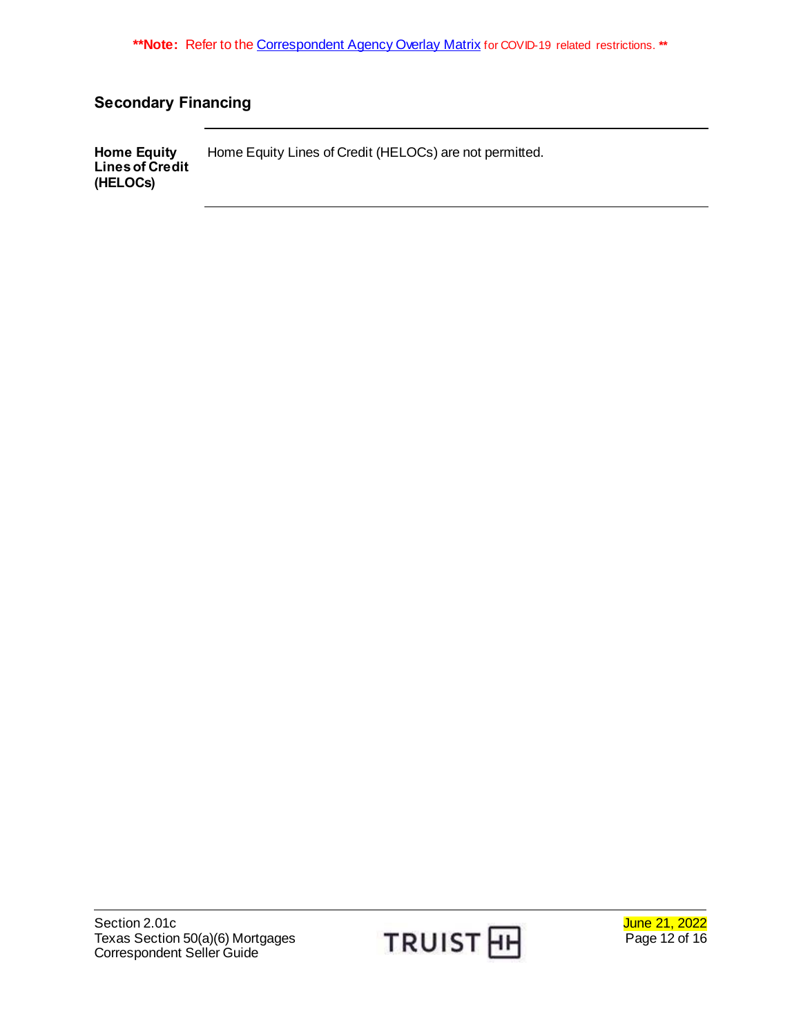# <span id="page-11-0"></span>**Secondary Financing**

<span id="page-11-1"></span>**Home Equity Lines of Credit (HELOCs)** Home Equity Lines of Credit (HELOCs) are not permitted.

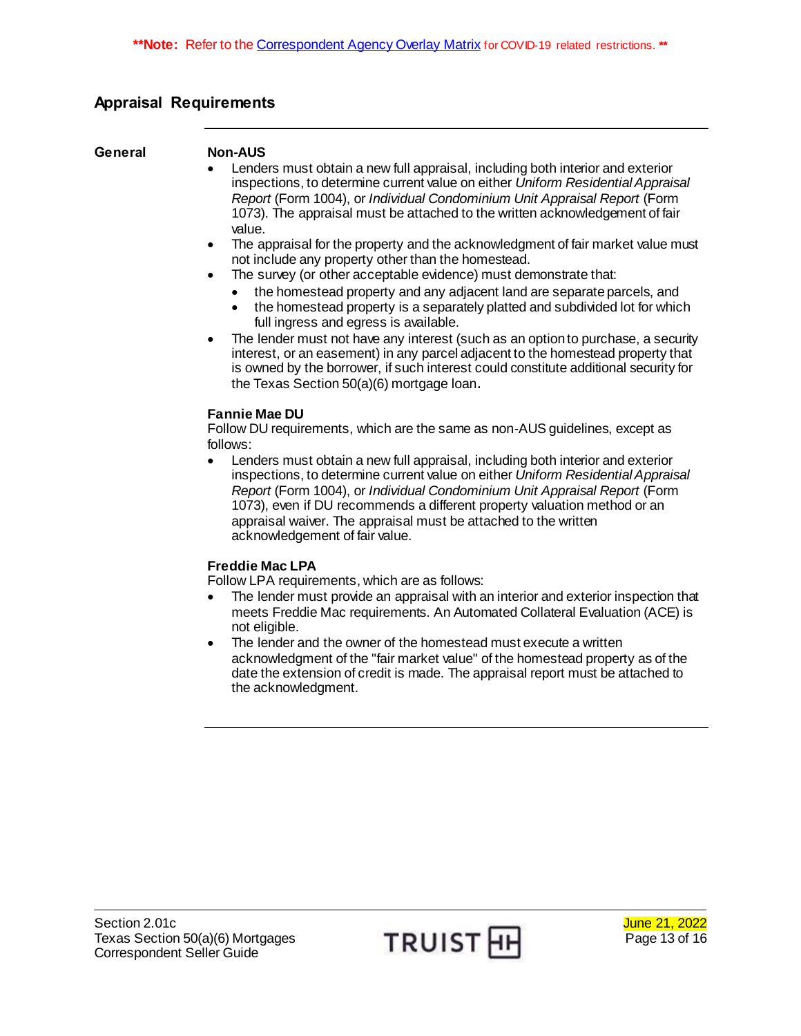# <span id="page-12-0"></span>**Appraisal Requirements**

### <span id="page-12-1"></span>**General Non-AUS**

- Lenders must obtain a new full appraisal, including both interior and exterior inspections, to determine current value on either *Uniform Residential Appraisal Report* (Form 1004), or *Individual Condominium Unit Appraisal Report* (Form 1073). The appraisal must be attached to the written acknowledgement of fair value.
- The appraisal for the property and the acknowledgment of fair market value must not include any property other than the homestead.
- The survey (or other acceptable evidence) must demonstrate that:
	- the homestead property and any adjacent land are separate parcels, and
	- the homestead property is a separately platted and subdivided lot for which full ingress and egress is available.
- The lender must not have any interest (such as an option to purchase, a security interest, or an easement) in any parcel adjacent to the homestead property that is owned by the borrower, if such interest could constitute additional security for the Texas Section 50(a)(6) mortgage loan.

### **Fannie Mae DU**

Follow DU requirements, which are the same as non-AUS guidelines, except as follows:

 Lenders must obtain a new full appraisal, including both interior and exterior inspections, to determine current value on either *Uniform Residential Appraisal Report* (Form 1004), or *Individual Condominium Unit Appraisal Report* (Form 1073), even if DU recommends a different property valuation method or an appraisal waiver. The appraisal must be attached to the written acknowledgement of fair value.

### **Freddie Mac LPA**

- The lender must provide an appraisal with an interior and exterior inspection that meets Freddie Mac requirements. An Automated Collateral Evaluation (ACE) is not eligible.
- The lender and the owner of the homestead must execute a written acknowledgment of the "fair market value" of the homestead property as of the date the extension of credit is made. The appraisal report must be attached to the acknowledgment.

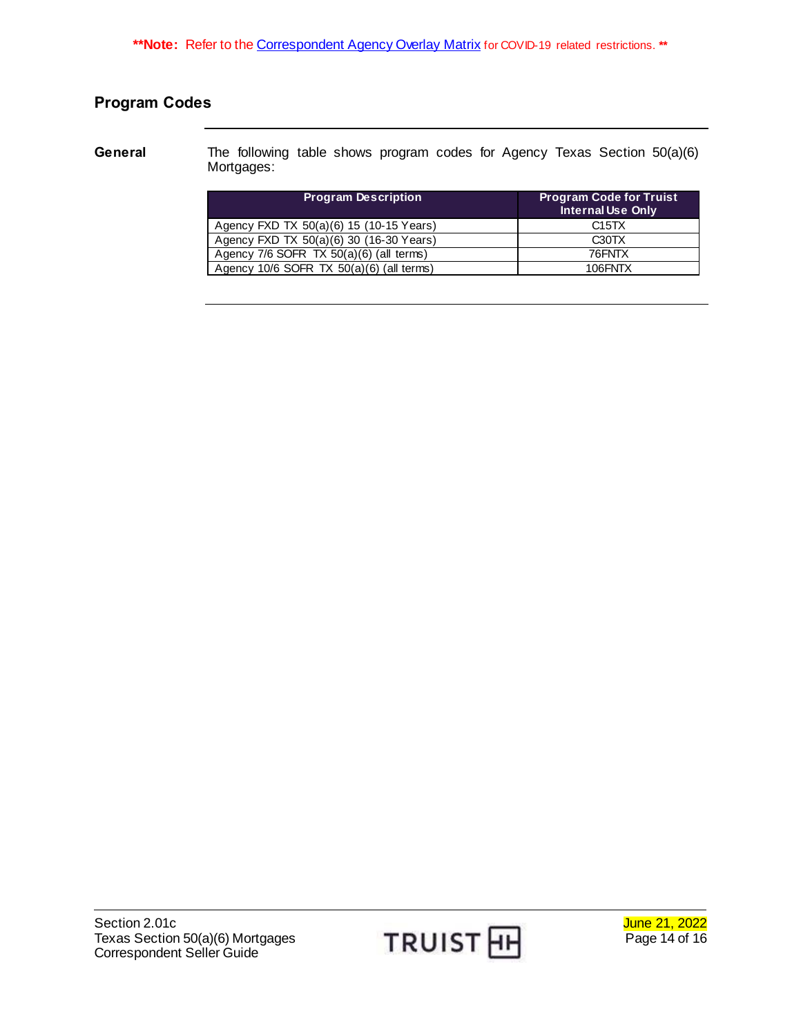# <span id="page-13-0"></span>**Program Codes**

<span id="page-13-1"></span>**General** The following table shows program codes for Agency Texas Section 50(a)(6) Mortgages:

| <b>Program Description</b>                   | <b>Program Code for Truist</b><br><b>Internal Use Only</b> |
|----------------------------------------------|------------------------------------------------------------|
| Agency FXD TX 50(a)(6) 15 (10-15 Years)      | C <sub>15</sub> T <sub>X</sub>                             |
| Agency FXD TX 50(a)(6) 30 (16-30 Years)      | C <sub>30</sub> T <sub>X</sub>                             |
| Agency $7/6$ SOFR TX $50(a)(6)$ (all terms)  | 76FNTX                                                     |
| Agency $10/6$ SOFR TX $50(a)(6)$ (all terms) | 106FNTX                                                    |

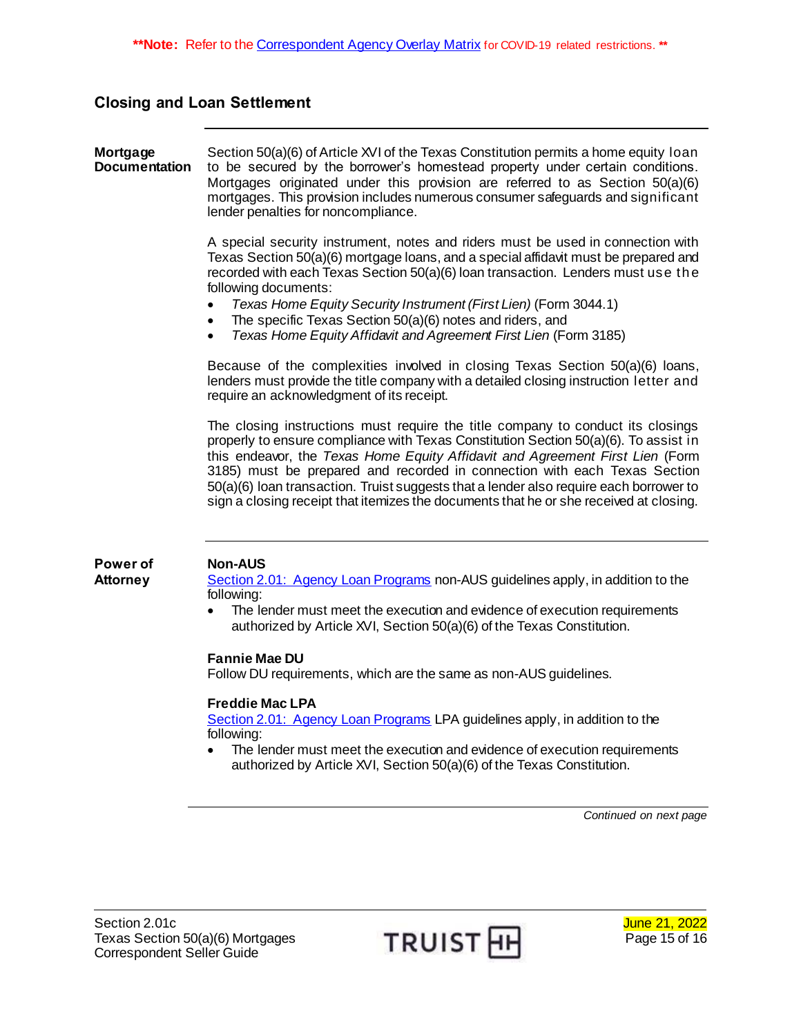## <span id="page-14-0"></span>**Closing and Loan Settlement**

#### <span id="page-14-1"></span>**Mortgage Documentation** Section 50(a)(6) of Article XVI of the Texas Constitution permits a home equity loan to be secured by the borrower's homestead property under certain conditions. Mortgages originated under this provision are referred to as Section 50(a)(6) mortgages. This provision includes numerous consumer safeguards and significant lender penalties for noncompliance.

A special security instrument, notes and riders must be used in connection with Texas Section 50(a)(6) mortgage loans, and a special affidavit must be prepared and recorded with each Texas Section 50(a)(6) loan transaction. Lenders must use th e following documents:

- *Texas Home Equity Security Instrument (First Lien)* (Form 3044.1)
- The specific Texas Section 50(a)(6) notes and riders, and
- *Texas Home Equity Affidavit and Agreement First Lien* (Form 3185)

Because of the complexities involved in closing Texas Section 50(a)(6) loans, lenders must provide the title company with a detailed closing instruction letter and require an acknowledgment of its receipt.

The closing instructions must require the title company to conduct its closings properly to ensure compliance with Texas Constitution Section 50(a)(6). To assist in this endeavor, the *Texas Home Equity Affidavit and Agreement First Lien* (Form 3185) must be prepared and recorded in connection with each Texas Section 50(a)(6) loan transaction. Truist suggests that a lender also require each borrower to sign a closing receipt that itemizes the documents that he or she received at closing.

#### <span id="page-14-2"></span>**Power of Attorney**

#### **Non-AUS**

Section [2.01: Agency Loan Programs](https://www.truistsellerguide.com/manual/cor/products/CAgency.pdf) non-AUS guidelines apply, in addition to the following:

• The lender must meet the execution and evidence of execution requirements authorized by Article XVI, Section 50(a)(6) of the Texas Constitution.

#### **Fannie Mae DU**

Follow DU requirements, which are the same as non-AUS guidelines.

#### **Freddie Mac LPA**

[Section 2.01: Agency Loan Programs](https://www.truistsellerguide.com/manual/cor/products/CAgency.pdf) LPA guidelines apply, in addition to the following:

 The lender must meet the execution and evidence of execution requirements authorized by Article XVI, Section 50(a)(6) of the Texas Constitution.

*Continued on next page*